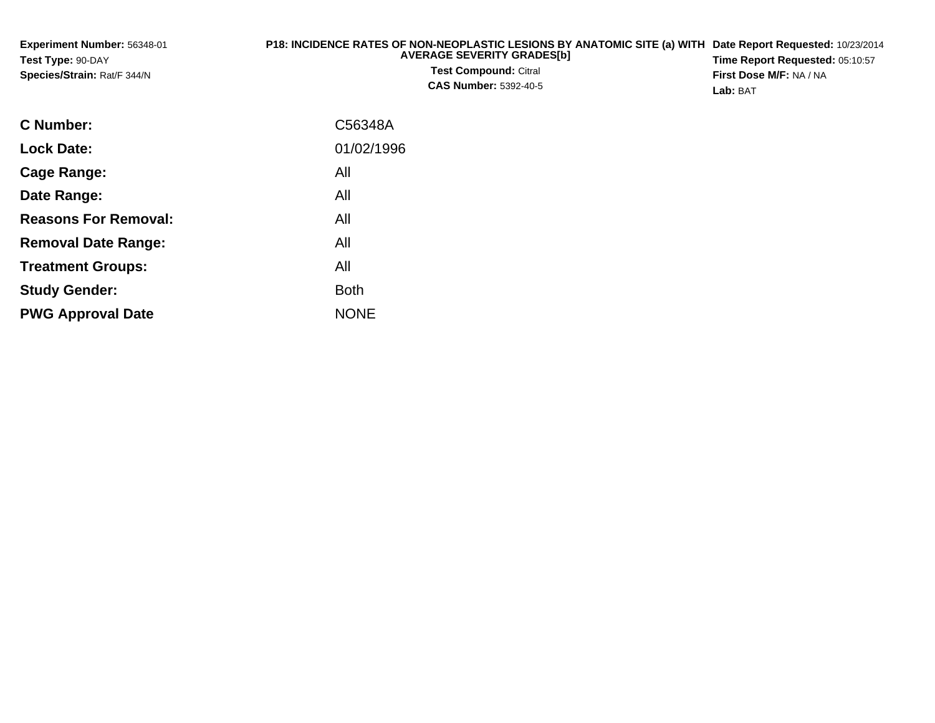| <b>Experiment Number: 56348-01</b><br>Test Type: 90-DAY<br>Species/Strain: Rat/F 344/N | P18: INCIDENCE RATES OF NON-NEOPLASTIC LESIONS BY ANATOMIC SITE (a) WITH Date Report Requested: 10/23/2014<br><b>AVERAGE SEVERITY GRADES[b]</b><br><b>Test Compound: Citral</b><br><b>CAS Number: 5392-40-5</b> | Time Report Requested: 05:10:57<br><b>First Dose M/F: NA / NA</b><br>Lab: BAT |
|----------------------------------------------------------------------------------------|-----------------------------------------------------------------------------------------------------------------------------------------------------------------------------------------------------------------|-------------------------------------------------------------------------------|
| <b>C</b> Number:                                                                       | C56348A                                                                                                                                                                                                         |                                                                               |

| 01/02/1996  |
|-------------|
| All         |
| All         |
| All         |
| All         |
| All         |
| <b>Both</b> |
| <b>NONE</b> |
|             |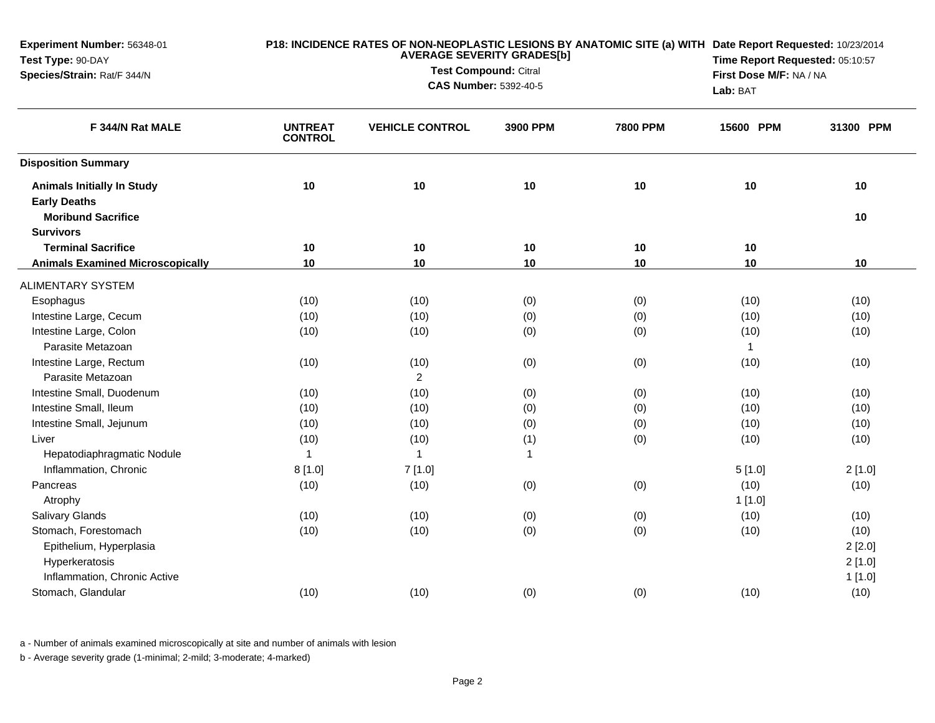| Experiment Number: 56348-01<br>Test Type: 90-DAY         | P18: INCIDENCE RATES OF NON-NEOPLASTIC LESIONS BY ANATOMIC SITE (a) WITH Date Report Requested: 10/23/2014<br><b>AVERAGE SEVERITY GRADES[b]</b> |                        |                                                              |                 | Time Report Requested: 05:10:57     |           |
|----------------------------------------------------------|-------------------------------------------------------------------------------------------------------------------------------------------------|------------------------|--------------------------------------------------------------|-----------------|-------------------------------------|-----------|
| Species/Strain: Rat/F 344/N                              |                                                                                                                                                 |                        | <b>Test Compound: Citral</b><br><b>CAS Number: 5392-40-5</b> |                 | First Dose M/F: NA / NA<br>Lab: BAT |           |
| F 344/N Rat MALE                                         | <b>UNTREAT</b><br><b>CONTROL</b>                                                                                                                | <b>VEHICLE CONTROL</b> | 3900 PPM                                                     | <b>7800 PPM</b> | 15600 PPM                           | 31300 PPM |
| <b>Disposition Summary</b>                               |                                                                                                                                                 |                        |                                                              |                 |                                     |           |
| <b>Animals Initially In Study</b><br><b>Early Deaths</b> | 10                                                                                                                                              | 10                     | 10                                                           | 10              | 10                                  | 10        |
| <b>Moribund Sacrifice</b>                                |                                                                                                                                                 |                        |                                                              |                 |                                     | 10        |
| <b>Survivors</b>                                         |                                                                                                                                                 |                        |                                                              |                 |                                     |           |
| <b>Terminal Sacrifice</b>                                | 10                                                                                                                                              | 10                     | 10                                                           | 10              | 10                                  |           |
| <b>Animals Examined Microscopically</b>                  | 10                                                                                                                                              | 10                     | 10                                                           | 10              | 10                                  | 10        |
| <b>ALIMENTARY SYSTEM</b>                                 |                                                                                                                                                 |                        |                                                              |                 |                                     |           |
| Esophagus                                                | (10)                                                                                                                                            | (10)                   | (0)                                                          | (0)             | (10)                                | (10)      |
| Intestine Large, Cecum                                   | (10)                                                                                                                                            | (10)                   | (0)                                                          | (0)             | (10)                                | (10)      |
| Intestine Large, Colon                                   | (10)                                                                                                                                            | (10)                   | (0)                                                          | (0)             | (10)                                | (10)      |
| Parasite Metazoan                                        |                                                                                                                                                 |                        |                                                              |                 | $\mathbf{1}$                        |           |
| Intestine Large, Rectum                                  | (10)                                                                                                                                            | (10)                   | (0)                                                          | (0)             | (10)                                | (10)      |
| Parasite Metazoan                                        |                                                                                                                                                 | $\overline{2}$         |                                                              |                 |                                     |           |
| Intestine Small, Duodenum                                | (10)                                                                                                                                            | (10)                   | (0)                                                          | (0)             | (10)                                | (10)      |
| Intestine Small, Ileum                                   | (10)                                                                                                                                            | (10)                   | (0)                                                          | (0)             | (10)                                | (10)      |
| Intestine Small, Jejunum                                 | (10)                                                                                                                                            | (10)                   | (0)                                                          | (0)             | (10)                                | (10)      |
| Liver                                                    | (10)                                                                                                                                            | (10)                   | (1)                                                          | (0)             | (10)                                | (10)      |
| Hepatodiaphragmatic Nodule                               | $\mathbf{1}$                                                                                                                                    | $\overline{1}$         | $\mathbf{1}$                                                 |                 |                                     |           |
| Inflammation, Chronic                                    | 8[1.0]                                                                                                                                          | 7[1.0]                 |                                                              |                 | 5[1.0]                              | 2[1.0]    |
| Pancreas                                                 | (10)                                                                                                                                            | (10)                   | (0)                                                          | (0)             | (10)                                | (10)      |
| Atrophy                                                  |                                                                                                                                                 |                        |                                                              |                 | 1[1.0]                              |           |
| <b>Salivary Glands</b>                                   | (10)                                                                                                                                            | (10)                   | (0)                                                          | (0)             | (10)                                | (10)      |
| Stomach, Forestomach                                     | (10)                                                                                                                                            | (10)                   | (0)                                                          | (0)             | (10)                                | (10)      |
| Epithelium, Hyperplasia                                  |                                                                                                                                                 |                        |                                                              |                 |                                     | 2[2.0]    |
| Hyperkeratosis                                           |                                                                                                                                                 |                        |                                                              |                 |                                     | 2[1.0]    |
| Inflammation, Chronic Active                             |                                                                                                                                                 |                        |                                                              |                 |                                     | 1[1.0]    |
| Stomach, Glandular                                       | (10)                                                                                                                                            | (10)                   | (0)                                                          | (0)             | (10)                                | (10)      |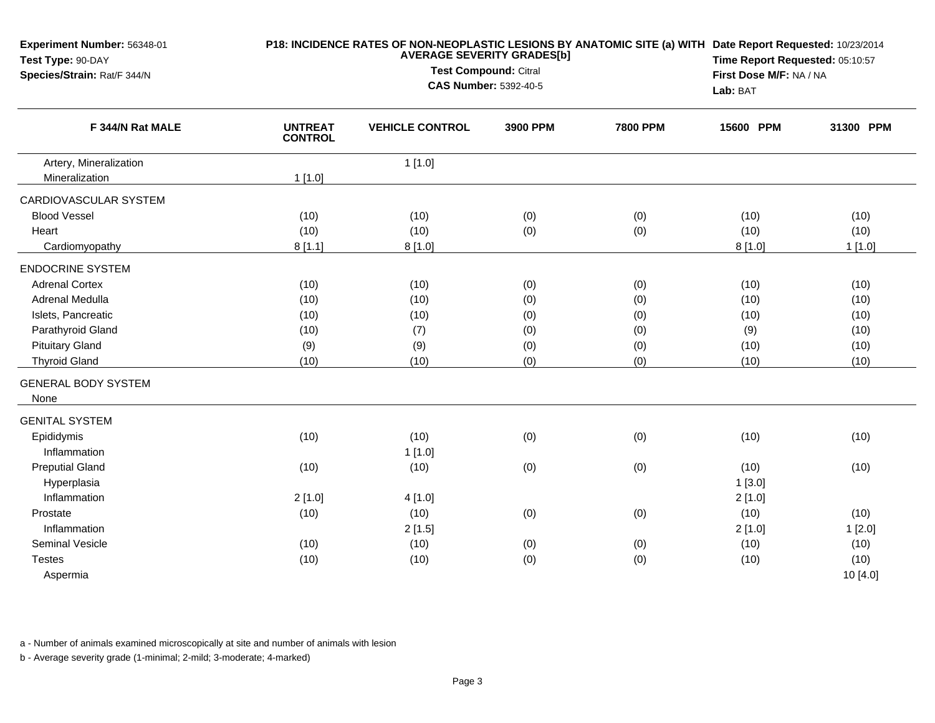| Experiment Number: 56348-01<br>Test Type: 90-DAY |                                  |                              | P18: INCIDENCE RATES OF NON-NEOPLASTIC LESIONS BY ANATOMIC SITE (a) WITH Date Report Requested: 10/23/2014<br>Time Report Requested: 05:10:57 |                 |           |                         |  |
|--------------------------------------------------|----------------------------------|------------------------------|-----------------------------------------------------------------------------------------------------------------------------------------------|-----------------|-----------|-------------------------|--|
| Species/Strain: Rat/F 344/N                      |                                  | <b>Test Compound: Citral</b> | <b>CAS Number: 5392-40-5</b>                                                                                                                  |                 | Lab: BAT  | First Dose M/F: NA / NA |  |
| F 344/N Rat MALE                                 | <b>UNTREAT</b><br><b>CONTROL</b> | <b>VEHICLE CONTROL</b>       | 3900 PPM                                                                                                                                      | <b>7800 PPM</b> | 15600 PPM | 31300 PPM               |  |
| Artery, Mineralization                           |                                  | 1[1.0]                       |                                                                                                                                               |                 |           |                         |  |
| Mineralization                                   | $1$ [1.0]                        |                              |                                                                                                                                               |                 |           |                         |  |
| CARDIOVASCULAR SYSTEM                            |                                  |                              |                                                                                                                                               |                 |           |                         |  |
| <b>Blood Vessel</b>                              | (10)                             | (10)                         | (0)                                                                                                                                           | (0)             | (10)      | (10)                    |  |
| Heart                                            | (10)                             | (10)                         | (0)                                                                                                                                           | (0)             | (10)      | (10)                    |  |
| Cardiomyopathy                                   | 8[1.1]                           | 8[1.0]                       |                                                                                                                                               |                 | 8[1.0]    | 1[1.0]                  |  |
| <b>ENDOCRINE SYSTEM</b>                          |                                  |                              |                                                                                                                                               |                 |           |                         |  |
| <b>Adrenal Cortex</b>                            | (10)                             | (10)                         | (0)                                                                                                                                           | (0)             | (10)      | (10)                    |  |
| Adrenal Medulla                                  | (10)                             | (10)                         | (0)                                                                                                                                           | (0)             | (10)      | (10)                    |  |
| Islets, Pancreatic                               | (10)                             | (10)                         | (0)                                                                                                                                           | (0)             | (10)      | (10)                    |  |
| Parathyroid Gland                                | (10)                             | (7)                          | (0)                                                                                                                                           | (0)             | (9)       | (10)                    |  |
| <b>Pituitary Gland</b>                           | (9)                              | (9)                          | (0)                                                                                                                                           | (0)             | (10)      | (10)                    |  |
| <b>Thyroid Gland</b>                             | (10)                             | (10)                         | (0)                                                                                                                                           | (0)             | (10)      | (10)                    |  |
| <b>GENERAL BODY SYSTEM</b>                       |                                  |                              |                                                                                                                                               |                 |           |                         |  |
| None                                             |                                  |                              |                                                                                                                                               |                 |           |                         |  |
| <b>GENITAL SYSTEM</b>                            |                                  |                              |                                                                                                                                               |                 |           |                         |  |
| Epididymis                                       | (10)                             | (10)                         | (0)                                                                                                                                           | (0)             | (10)      | (10)                    |  |
| Inflammation                                     |                                  | 1[1.0]                       |                                                                                                                                               |                 |           |                         |  |
| <b>Preputial Gland</b>                           | (10)                             | (10)                         | (0)                                                                                                                                           | (0)             | (10)      | (10)                    |  |
| Hyperplasia                                      |                                  |                              |                                                                                                                                               |                 | 1[3.0]    |                         |  |
| Inflammation                                     | 2[1.0]                           | 4[1.0]                       |                                                                                                                                               |                 | 2[1.0]    |                         |  |
| Prostate                                         | (10)                             | (10)                         | (0)                                                                                                                                           | (0)             | (10)      | (10)                    |  |
| Inflammation                                     |                                  | 2[1.5]                       |                                                                                                                                               |                 | 2[1.0]    | 1[2.0]                  |  |
| <b>Seminal Vesicle</b>                           | (10)                             | (10)                         | (0)                                                                                                                                           | (0)             | (10)      | (10)                    |  |
| <b>Testes</b>                                    | (10)                             | (10)                         | (0)                                                                                                                                           | (0)             | (10)      | (10)                    |  |
| Aspermia                                         |                                  |                              |                                                                                                                                               |                 |           | 10 [4.0]                |  |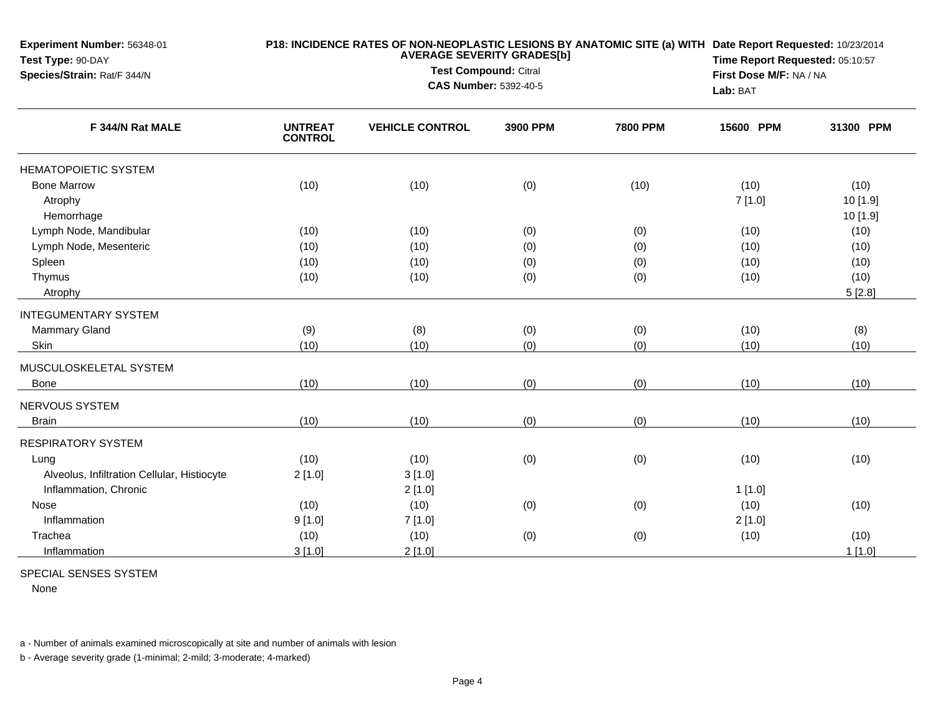| Experiment Number: 56348-01<br>Test Type: 90-DAY<br>Species/Strain: Rat/F 344/N | P18: INCIDENCE RATES OF NON-NEOPLASTIC LESIONS BY ANATOMIC SITE (a) WITH Date Report Requested: 10/23/2014<br><b>AVERAGE SEVERITY GRADES[b]</b><br><b>Test Compound: Citral</b><br><b>CAS Number: 5392-40-5</b> |                        |          |                 |           | Time Report Requested: 05:10:57<br>First Dose M/F: NA / NA |  |
|---------------------------------------------------------------------------------|-----------------------------------------------------------------------------------------------------------------------------------------------------------------------------------------------------------------|------------------------|----------|-----------------|-----------|------------------------------------------------------------|--|
|                                                                                 |                                                                                                                                                                                                                 |                        |          |                 | Lab: BAT  |                                                            |  |
| F 344/N Rat MALE                                                                | <b>UNTREAT</b><br><b>CONTROL</b>                                                                                                                                                                                | <b>VEHICLE CONTROL</b> | 3900 PPM | <b>7800 PPM</b> | 15600 PPM | 31300 PPM                                                  |  |
| <b>HEMATOPOIETIC SYSTEM</b>                                                     |                                                                                                                                                                                                                 |                        |          |                 |           |                                                            |  |
| <b>Bone Marrow</b>                                                              | (10)                                                                                                                                                                                                            | (10)                   | (0)      | (10)            | (10)      | (10)                                                       |  |
| Atrophy<br>Hemorrhage                                                           |                                                                                                                                                                                                                 |                        |          |                 | 7[1.0]    | 10 [1.9]<br>10 [1.9]                                       |  |
| Lymph Node, Mandibular                                                          | (10)                                                                                                                                                                                                            | (10)                   | (0)      | (0)             | (10)      | (10)                                                       |  |
| Lymph Node, Mesenteric                                                          | (10)                                                                                                                                                                                                            | (10)                   | (0)      | (0)             | (10)      | (10)                                                       |  |
| Spleen                                                                          | (10)                                                                                                                                                                                                            | (10)                   | (0)      | (0)             | (10)      | (10)                                                       |  |
| Thymus                                                                          | (10)                                                                                                                                                                                                            | (10)                   | (0)      | (0)             | (10)      | (10)                                                       |  |
| Atrophy                                                                         |                                                                                                                                                                                                                 |                        |          |                 |           | 5[2.8]                                                     |  |
| <b>INTEGUMENTARY SYSTEM</b>                                                     |                                                                                                                                                                                                                 |                        |          |                 |           |                                                            |  |
| <b>Mammary Gland</b>                                                            | (9)                                                                                                                                                                                                             | (8)                    | (0)      | (0)             | (10)      | (8)                                                        |  |
| Skin                                                                            | (10)                                                                                                                                                                                                            | (10)                   | (0)      | (0)             | (10)      | (10)                                                       |  |
| MUSCULOSKELETAL SYSTEM                                                          |                                                                                                                                                                                                                 |                        |          |                 |           |                                                            |  |
| <b>Bone</b>                                                                     | (10)                                                                                                                                                                                                            | (10)                   | (0)      | (0)             | (10)      | (10)                                                       |  |
| NERVOUS SYSTEM                                                                  |                                                                                                                                                                                                                 |                        |          |                 |           |                                                            |  |
| <b>Brain</b>                                                                    | (10)                                                                                                                                                                                                            | (10)                   | (0)      | (0)             | (10)      | (10)                                                       |  |
| <b>RESPIRATORY SYSTEM</b>                                                       |                                                                                                                                                                                                                 |                        |          |                 |           |                                                            |  |
| Lung                                                                            | (10)                                                                                                                                                                                                            | (10)                   | (0)      | (0)             | (10)      | (10)                                                       |  |
| Alveolus, Infiltration Cellular, Histiocyte                                     | 2[1.0]                                                                                                                                                                                                          | 3[1.0]                 |          |                 |           |                                                            |  |
| Inflammation, Chronic                                                           |                                                                                                                                                                                                                 | 2[1.0]                 |          |                 | 1[1.0]    |                                                            |  |
| <b>Nose</b>                                                                     | (10)                                                                                                                                                                                                            | (10)                   | (0)      | (0)             | (10)      | (10)                                                       |  |
| Inflammation                                                                    | 9[1.0]                                                                                                                                                                                                          | 7[1.0]                 |          |                 | 2[1.0]    |                                                            |  |
| Trachea                                                                         | (10)                                                                                                                                                                                                            | (10)                   | (0)      | (0)             | (10)      | (10)                                                       |  |
| Inflammation                                                                    | 3[1.0]                                                                                                                                                                                                          | 2[1.0]                 |          |                 |           | 1[1.0]                                                     |  |

SPECIAL SENSES SYSTEM

None

a - Number of animals examined microscopically at site and number of animals with lesion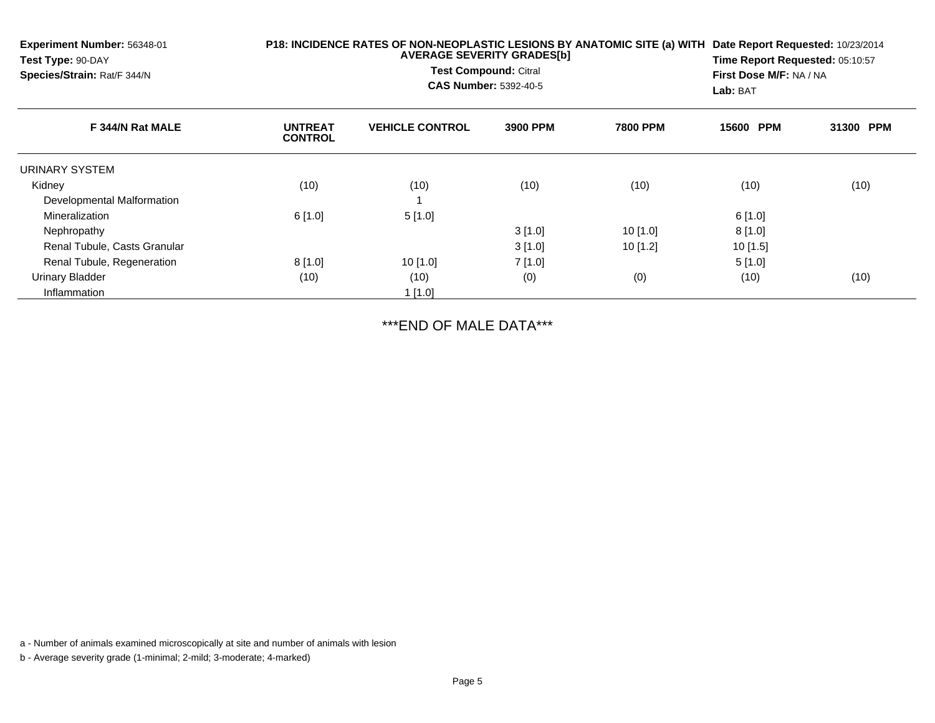| <b>Experiment Number: 56348-01</b><br>Test Type: 90-DAY<br>Species/Strain: Rat/F 344/N | P18: INCIDENCE RATES OF NON-NEOPLASTIC LESIONS BY ANATOMIC SITE (a) WITH | Date Report Requested: 10/23/2014<br>Time Report Requested: 05:10:57<br>First Dose M/F: NA / NA<br>Lab: BAT |          |                 |           |           |
|----------------------------------------------------------------------------------------|--------------------------------------------------------------------------|-------------------------------------------------------------------------------------------------------------|----------|-----------------|-----------|-----------|
| F 344/N Rat MALE                                                                       | <b>UNTREAT</b><br><b>CONTROL</b>                                         | <b>VEHICLE CONTROL</b>                                                                                      | 3900 PPM | <b>7800 PPM</b> | 15600 PPM | 31300 PPM |
| URINARY SYSTEM                                                                         |                                                                          |                                                                                                             |          |                 |           |           |
| Kidney                                                                                 | (10)                                                                     | (10)                                                                                                        | (10)     | (10)            | (10)      | (10)      |
| Developmental Malformation                                                             |                                                                          |                                                                                                             |          |                 |           |           |
| Mineralization                                                                         | 6[1.0]                                                                   | 5[1.0]                                                                                                      |          |                 | 6[1.0]    |           |
| Nephropathy                                                                            |                                                                          |                                                                                                             | 3[1.0]   | 10[1.0]         | 8[1.0]    |           |
| Renal Tubule, Casts Granular                                                           |                                                                          |                                                                                                             | 3[1.0]   | 10[1.2]         | 10[1.5]   |           |
| Renal Tubule, Regeneration                                                             | 8[1.0]                                                                   | 10[1.0]                                                                                                     | 7[1.0]   |                 | 5[1.0]    |           |
| <b>Urinary Bladder</b>                                                                 | (10)                                                                     | (10)                                                                                                        | (0)      | (0)             | (10)      | (10)      |
| Inflammation                                                                           |                                                                          | $1$ [1.0]                                                                                                   |          |                 |           |           |

\*\*\*END OF MALE DATA\*\*\*

a - Number of animals examined microscopically at site and number of animals with lesion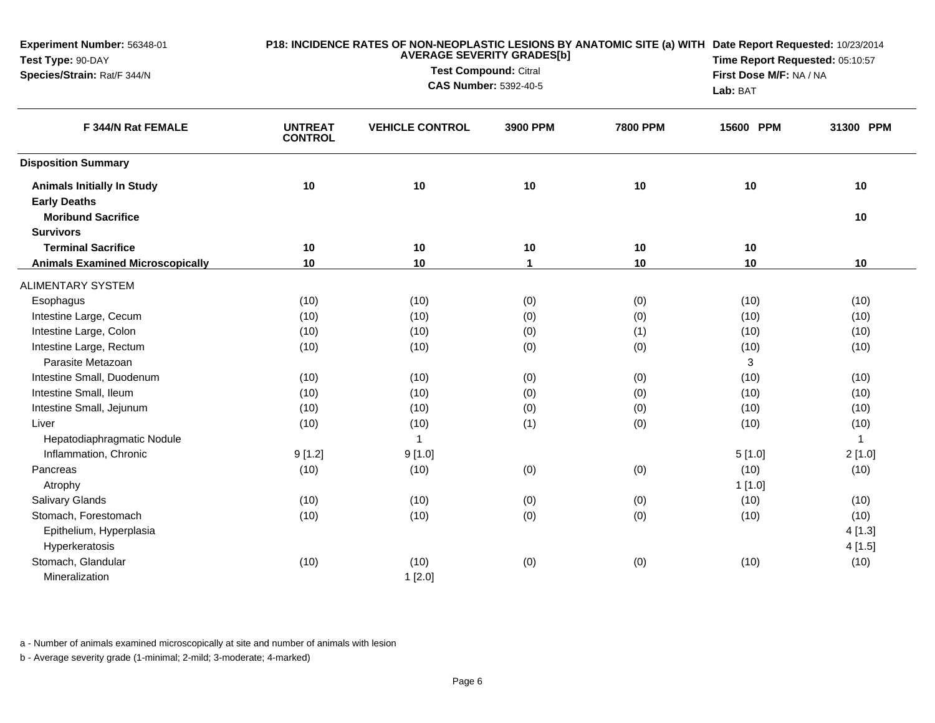| Experiment Number: 56348-01<br>Test Type: 90-DAY |                                  | <b>AVERAGE SEVERITY GRADES[b]</b>                            | P18: INCIDENCE RATES OF NON-NEOPLASTIC LESIONS BY ANATOMIC SITE (a) WITH Date Report Requested: 10/23/2014<br>Time Report Requested: 05:10:57<br>First Dose M/F: NA / NA<br>Lab: BAT |                 |           |              |
|--------------------------------------------------|----------------------------------|--------------------------------------------------------------|--------------------------------------------------------------------------------------------------------------------------------------------------------------------------------------|-----------------|-----------|--------------|
| Species/Strain: Rat/F 344/N                      |                                  | <b>Test Compound: Citral</b><br><b>CAS Number: 5392-40-5</b> |                                                                                                                                                                                      |                 |           |              |
| F 344/N Rat FEMALE                               | <b>UNTREAT</b><br><b>CONTROL</b> | <b>VEHICLE CONTROL</b>                                       | 3900 PPM                                                                                                                                                                             | <b>7800 PPM</b> | 15600 PPM | 31300 PPM    |
| <b>Disposition Summary</b>                       |                                  |                                                              |                                                                                                                                                                                      |                 |           |              |
| <b>Animals Initially In Study</b>                | 10                               | 10                                                           | $10$                                                                                                                                                                                 | 10              | 10        | 10           |
| <b>Early Deaths</b>                              |                                  |                                                              |                                                                                                                                                                                      |                 |           |              |
| <b>Moribund Sacrifice</b>                        |                                  |                                                              |                                                                                                                                                                                      |                 |           | 10           |
| <b>Survivors</b>                                 |                                  |                                                              |                                                                                                                                                                                      |                 |           |              |
| <b>Terminal Sacrifice</b>                        | 10                               | 10                                                           | $10$                                                                                                                                                                                 | 10              | 10        |              |
| <b>Animals Examined Microscopically</b>          | 10                               | 10                                                           | $\mathbf 1$                                                                                                                                                                          | 10              | 10        | 10           |
| <b>ALIMENTARY SYSTEM</b>                         |                                  |                                                              |                                                                                                                                                                                      |                 |           |              |
| Esophagus                                        | (10)                             | (10)                                                         | (0)                                                                                                                                                                                  | (0)             | (10)      | (10)         |
| Intestine Large, Cecum                           | (10)                             | (10)                                                         | (0)                                                                                                                                                                                  | (0)             | (10)      | (10)         |
| Intestine Large, Colon                           | (10)                             | (10)                                                         | (0)                                                                                                                                                                                  | (1)             | (10)      | (10)         |
| Intestine Large, Rectum                          | (10)                             | (10)                                                         | (0)                                                                                                                                                                                  | (0)             | (10)      | (10)         |
| Parasite Metazoan                                |                                  |                                                              |                                                                                                                                                                                      |                 | 3         |              |
| Intestine Small, Duodenum                        | (10)                             | (10)                                                         | (0)                                                                                                                                                                                  | (0)             | (10)      | (10)         |
| Intestine Small, Ileum                           | (10)                             | (10)                                                         | (0)                                                                                                                                                                                  | (0)             | (10)      | (10)         |
| Intestine Small, Jejunum                         | (10)                             | (10)                                                         | (0)                                                                                                                                                                                  | (0)             | (10)      | (10)         |
| Liver                                            | (10)                             | (10)                                                         | (1)                                                                                                                                                                                  | (0)             | (10)      | (10)         |
| Hepatodiaphragmatic Nodule                       |                                  | $\mathbf{1}$                                                 |                                                                                                                                                                                      |                 |           | $\mathbf{1}$ |
| Inflammation, Chronic                            | 9[1.2]                           | 9[1.0]                                                       |                                                                                                                                                                                      |                 | 5[1.0]    | 2[1.0]       |
| Pancreas                                         | (10)                             | (10)                                                         | (0)                                                                                                                                                                                  | (0)             | (10)      | (10)         |
| Atrophy                                          |                                  |                                                              |                                                                                                                                                                                      |                 | 1[1.0]    |              |
| <b>Salivary Glands</b>                           | (10)                             | (10)                                                         | (0)                                                                                                                                                                                  | (0)             | (10)      | (10)         |
| Stomach, Forestomach                             | (10)                             | (10)                                                         | (0)                                                                                                                                                                                  | (0)             | (10)      | (10)         |
| Epithelium, Hyperplasia                          |                                  |                                                              |                                                                                                                                                                                      |                 |           | 4[1.3]       |
| Hyperkeratosis                                   |                                  |                                                              |                                                                                                                                                                                      |                 |           | 4[1.5]       |
| Stomach, Glandular                               | (10)                             | (10)                                                         | (0)                                                                                                                                                                                  | (0)             | (10)      | (10)         |
| Mineralization                                   |                                  | 1[2.0]                                                       |                                                                                                                                                                                      |                 |           |              |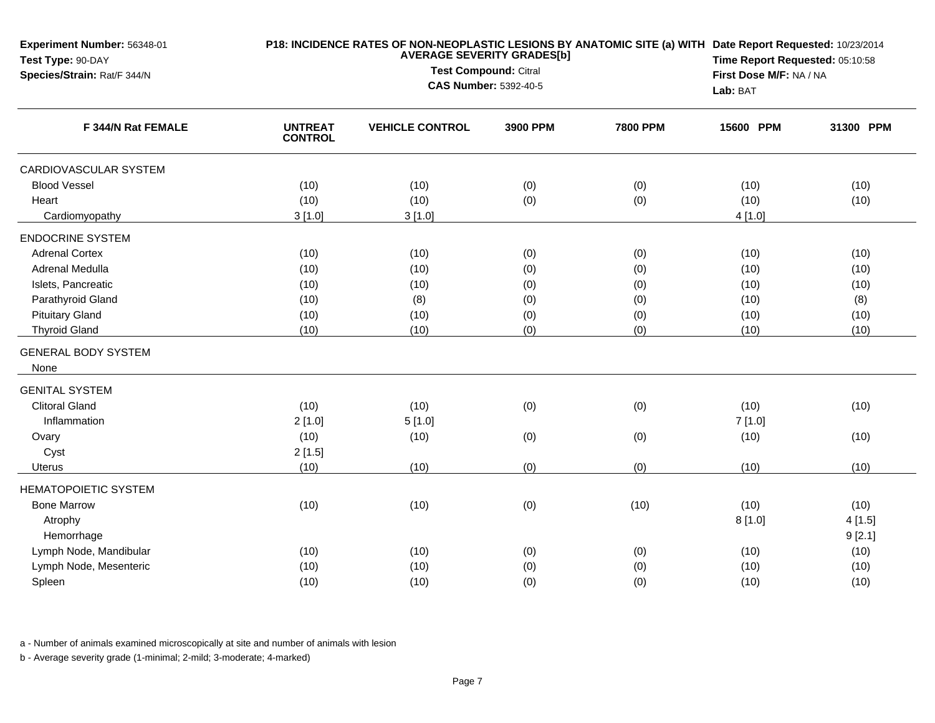| Experiment Number: 56348-01<br>Test Type: 90-DAY<br>Species/Strain: Rat/F 344/N |                                  |                              | P18: INCIDENCE RATES OF NON-NEOPLASTIC LESIONS BY ANATOMIC SITE (a) WITH Date Report Requested: 10/23/2014<br>Time Report Requested: 05:10:58 |                 |                                     |           |
|---------------------------------------------------------------------------------|----------------------------------|------------------------------|-----------------------------------------------------------------------------------------------------------------------------------------------|-----------------|-------------------------------------|-----------|
|                                                                                 |                                  | Test Compound: Citral        |                                                                                                                                               |                 |                                     |           |
|                                                                                 |                                  | <b>CAS Number: 5392-40-5</b> |                                                                                                                                               |                 | First Dose M/F: NA / NA<br>Lab: BAT |           |
| F 344/N Rat FEMALE                                                              | <b>UNTREAT</b><br><b>CONTROL</b> | <b>VEHICLE CONTROL</b>       | 3900 PPM                                                                                                                                      | <b>7800 PPM</b> | 15600 PPM                           | 31300 PPM |
| <b>CARDIOVASCULAR SYSTEM</b>                                                    |                                  |                              |                                                                                                                                               |                 |                                     |           |
| <b>Blood Vessel</b>                                                             | (10)                             | (10)                         | (0)                                                                                                                                           | (0)             | (10)                                | (10)      |
| Heart                                                                           | (10)                             | (10)                         | (0)                                                                                                                                           | (0)             | (10)                                | (10)      |
| Cardiomyopathy                                                                  | 3[1.0]                           | 3[1.0]                       |                                                                                                                                               |                 | 4[1.0]                              |           |
| <b>ENDOCRINE SYSTEM</b>                                                         |                                  |                              |                                                                                                                                               |                 |                                     |           |
| <b>Adrenal Cortex</b>                                                           | (10)                             | (10)                         | (0)                                                                                                                                           | (0)             | (10)                                | (10)      |
| Adrenal Medulla                                                                 | (10)                             | (10)                         | (0)                                                                                                                                           | (0)             | (10)                                | (10)      |
| Islets, Pancreatic                                                              | (10)                             | (10)                         | (0)                                                                                                                                           | (0)             | (10)                                | (10)      |
| Parathyroid Gland                                                               | (10)                             | (8)                          | (0)                                                                                                                                           | (0)             | (10)                                | (8)       |
| <b>Pituitary Gland</b>                                                          | (10)                             | (10)                         | (0)                                                                                                                                           | (0)             | (10)                                | (10)      |
| <b>Thyroid Gland</b>                                                            | (10)                             | (10)                         | (0)                                                                                                                                           | (0)             | (10)                                | (10)      |
| <b>GENERAL BODY SYSTEM</b><br>None                                              |                                  |                              |                                                                                                                                               |                 |                                     |           |
| <b>GENITAL SYSTEM</b>                                                           |                                  |                              |                                                                                                                                               |                 |                                     |           |
| <b>Clitoral Gland</b>                                                           | (10)                             | (10)                         | (0)                                                                                                                                           | (0)             | (10)                                | (10)      |
| Inflammation                                                                    | 2[1.0]                           | 5[1.0]                       |                                                                                                                                               |                 | 7[1.0]                              |           |
| Ovary                                                                           | (10)                             | (10)                         | (0)                                                                                                                                           | (0)             | (10)                                | (10)      |
| Cyst                                                                            | 2[1.5]                           |                              |                                                                                                                                               |                 |                                     |           |
| Uterus                                                                          | (10)                             | (10)                         | (0)                                                                                                                                           | (0)             | (10)                                | (10)      |
| <b>HEMATOPOIETIC SYSTEM</b>                                                     |                                  |                              |                                                                                                                                               |                 |                                     |           |
| <b>Bone Marrow</b>                                                              | (10)                             | (10)                         | (0)                                                                                                                                           | (10)            | (10)                                | (10)      |
| Atrophy                                                                         |                                  |                              |                                                                                                                                               |                 | 8[1.0]                              | 4[1.5]    |
| Hemorrhage                                                                      |                                  |                              |                                                                                                                                               |                 |                                     | 9[2.1]    |
| Lymph Node, Mandibular                                                          | (10)                             | (10)                         | (0)                                                                                                                                           | (0)             | (10)                                | (10)      |
| Lymph Node, Mesenteric                                                          | (10)                             | (10)                         | (0)                                                                                                                                           | (0)             | (10)                                | (10)      |
| Spleen                                                                          | (10)                             | (10)                         | (0)                                                                                                                                           | (0)             | (10)                                | (10)      |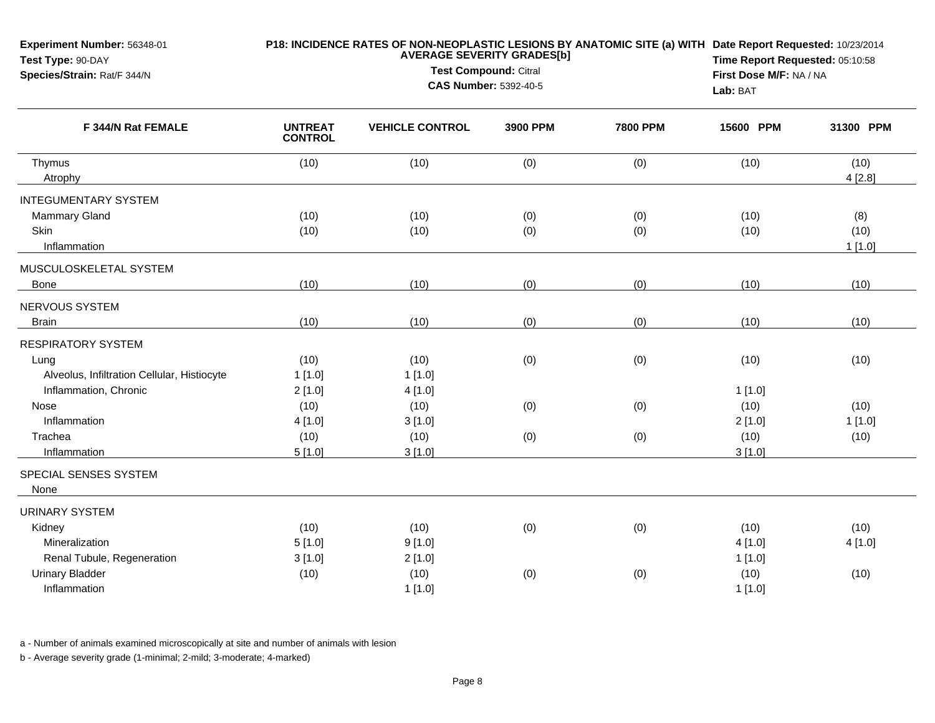| Experiment Number: 56348-01<br>Test Type: 90-DAY<br>Species/Strain: Rat/F 344/N                                                          | P18: INCIDENCE RATES OF NON-NEOPLASTIC LESIONS BY ANATOMIC SITE (a) WITH Date Report Requested: 10/23/2014<br><b>AVERAGE SEVERITY GRADES[b]</b><br>Test Compound: Citral<br><b>CAS Number: 5392-40-5</b> |                                            |            |                 | Time Report Requested: 05:10:58<br>First Dose M/F: NA / NA<br>Lab: BAT |                        |
|------------------------------------------------------------------------------------------------------------------------------------------|----------------------------------------------------------------------------------------------------------------------------------------------------------------------------------------------------------|--------------------------------------------|------------|-----------------|------------------------------------------------------------------------|------------------------|
| F 344/N Rat FEMALE                                                                                                                       | <b>UNTREAT</b><br><b>CONTROL</b>                                                                                                                                                                         | <b>VEHICLE CONTROL</b>                     | 3900 PPM   | <b>7800 PPM</b> | 15600 PPM                                                              | 31300 PPM              |
| Thymus<br>Atrophy                                                                                                                        | (10)                                                                                                                                                                                                     | (10)                                       | (0)        | (0)             | (10)                                                                   | (10)<br>4[2.8]         |
| <b>INTEGUMENTARY SYSTEM</b><br>Mammary Gland<br>Skin<br>Inflammation                                                                     | (10)<br>(10)                                                                                                                                                                                             | (10)<br>(10)                               | (0)<br>(0) | (0)<br>(0)      | (10)<br>(10)                                                           | (8)<br>(10)<br>1[1.0]  |
| MUSCULOSKELETAL SYSTEM<br><b>Bone</b>                                                                                                    | (10)                                                                                                                                                                                                     | (10)                                       | (0)        | (0)             | (10)                                                                   | (10)                   |
| NERVOUS SYSTEM<br><b>Brain</b>                                                                                                           | (10)                                                                                                                                                                                                     | (10)                                       | (0)        | (0)             | (10)                                                                   | (10)                   |
| <b>RESPIRATORY SYSTEM</b><br>Lung<br>Alveolus, Infiltration Cellular, Histiocyte<br>Inflammation, Chronic<br><b>Nose</b><br>Inflammation | (10)<br>1[1.0]<br>2[1.0]<br>(10)                                                                                                                                                                         | (10)<br>1[1.0]<br>4[1.0]<br>(10)<br>3[1.0] | (0)<br>(0) | (0)<br>(0)      | (10)<br>1[1.0]<br>(10)                                                 | (10)<br>(10)<br>1[1.0] |
| Trachea<br>Inflammation                                                                                                                  | 4[1.0]<br>(10)<br>5[1.0]                                                                                                                                                                                 | (10)<br>3[1.0]                             | (0)        | (0)             | 2[1.0]<br>(10)<br>3[1.0]                                               | (10)                   |
| SPECIAL SENSES SYSTEM<br>None                                                                                                            |                                                                                                                                                                                                          |                                            |            |                 |                                                                        |                        |
| <b>URINARY SYSTEM</b><br>Kidney<br>Mineralization<br>Renal Tubule, Regeneration<br><b>Urinary Bladder</b><br>Inflammation                | (10)<br>5[1.0]<br>3[1.0]<br>(10)                                                                                                                                                                         | (10)<br>9[1.0]<br>2[1.0]<br>(10)<br>1[1.0] | (0)<br>(0) | (0)<br>(0)      | (10)<br>4[1.0]<br>1[1.0]<br>(10)<br>1[1.0]                             | (10)<br>4[1.0]<br>(10) |